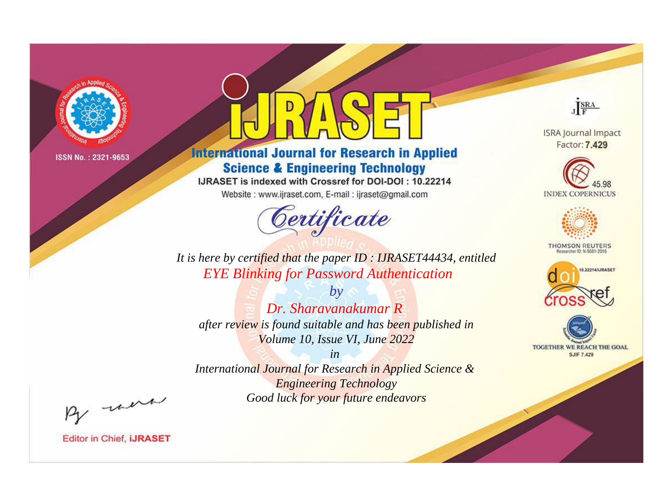

# **International Journal for Research in Applied Science & Engineering Technology**

IJRASET is indexed with Crossref for DOI-DOI: 10.22214

Website: www.ijraset.com, E-mail: ijraset@gmail.com



JERA

**ISRA Journal Impact** Factor: 7.429





**THOMSON REUTERS** 



TOGETHER WE REACH THE GOAL **SJIF 7.429** 

*It is here by certified that the paper ID : IJRASET44434, entitled EYE Blinking for Password Authentication*

*by Dr. Sharavanakumar R after review is found suitable and has been published in Volume 10, Issue VI, June 2022*

*in* 

*International Journal for Research in Applied Science & Engineering Technology Good luck for your future endeavors*

By morn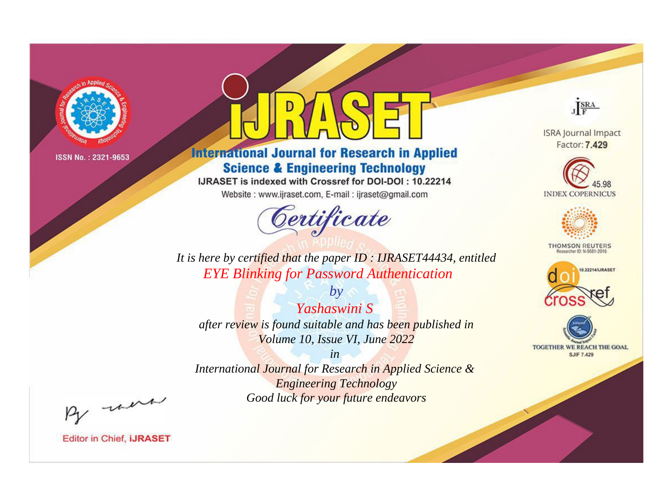

# **International Journal for Research in Applied Science & Engineering Technology**

IJRASET is indexed with Crossref for DOI-DOI: 10.22214

Website: www.ijraset.com, E-mail: ijraset@gmail.com



JERA

**ISRA Journal Impact** Factor: 7.429





**THOMSON REUTERS** 



TOGETHER WE REACH THE GOAL **SJIF 7.429** 

*It is here by certified that the paper ID : IJRASET44434, entitled EYE Blinking for Password Authentication*

*Yashaswini S after review is found suitable and has been published in Volume 10, Issue VI, June 2022*

*by*

*in* 

*International Journal for Research in Applied Science & Engineering Technology Good luck for your future endeavors*

By morn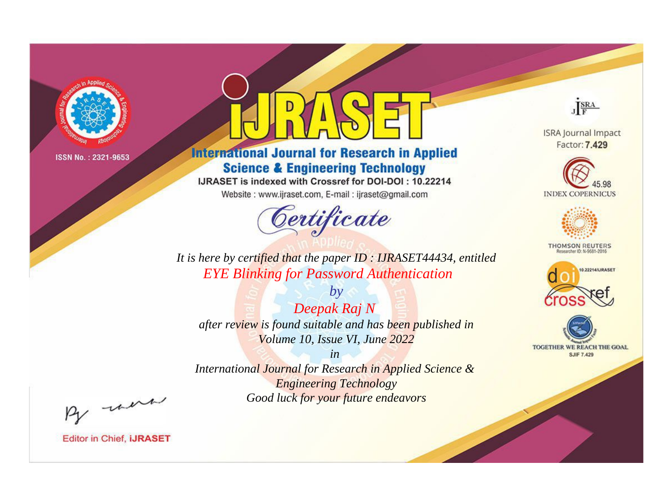

# **International Journal for Research in Applied Science & Engineering Technology**

IJRASET is indexed with Crossref for DOI-DOI: 10.22214

Website: www.ijraset.com, E-mail: ijraset@gmail.com



JERA

**ISRA Journal Impact** Factor: 7.429





**THOMSON REUTERS** 



TOGETHER WE REACH THE GOAL **SJIF 7.429** 

*It is here by certified that the paper ID : IJRASET44434, entitled EYE Blinking for Password Authentication*

*by Deepak Raj N after review is found suitable and has been published in Volume 10, Issue VI, June 2022*

*in* 

*International Journal for Research in Applied Science & Engineering Technology Good luck for your future endeavors*

By morn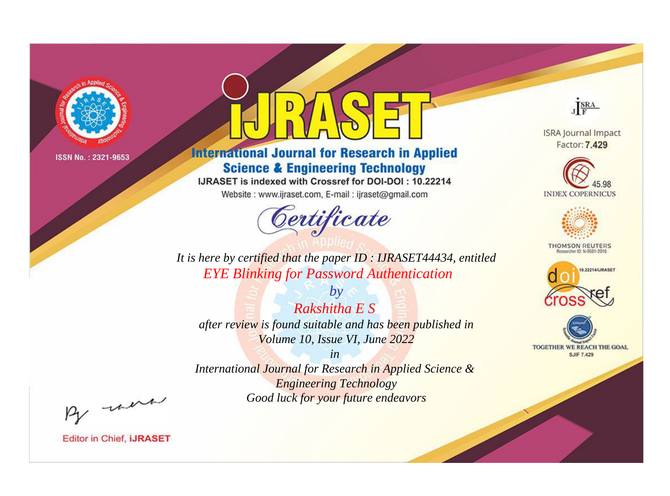

# **International Journal for Research in Applied Science & Engineering Technology**

IJRASET is indexed with Crossref for DOI-DOI: 10.22214

Website: www.ijraset.com, E-mail: ijraset@gmail.com



JERA

**ISRA Journal Impact** Factor: 7.429





**THOMSON REUTERS** 



TOGETHER WE REACH THE GOAL **SJIF 7.429** 

*It is here by certified that the paper ID : IJRASET44434, entitled EYE Blinking for Password Authentication*

*Rakshitha E S after review is found suitable and has been published in Volume 10, Issue VI, June 2022*

*by*

*in* 

*International Journal for Research in Applied Science & Engineering Technology Good luck for your future endeavors*

By morn